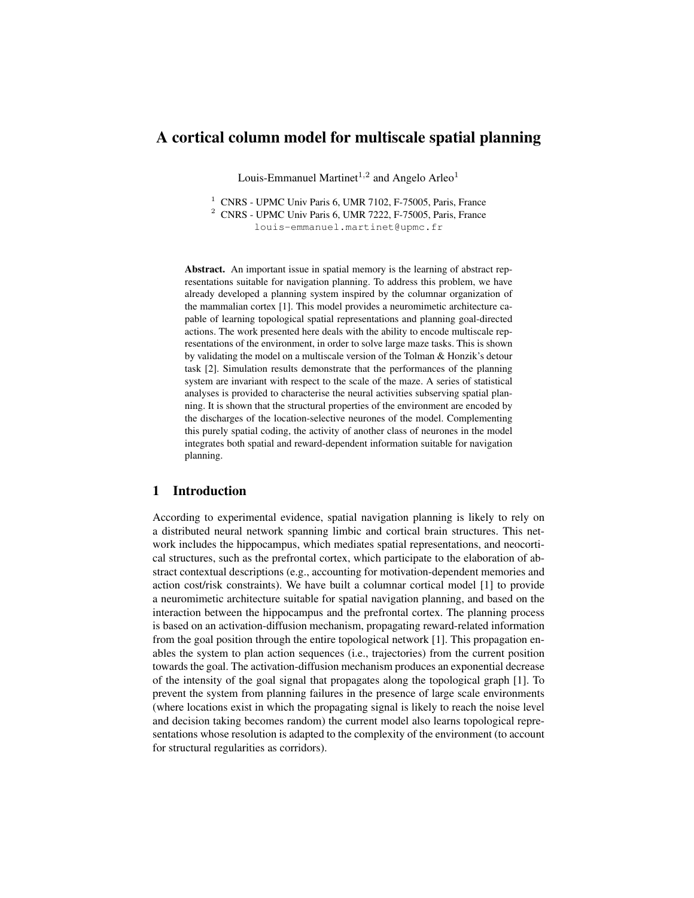# A cortical column model for multiscale spatial planning

Louis-Emmanuel Martinet<sup>1,2</sup> and Angelo Arleo<sup>1</sup>

<sup>1</sup> CNRS - UPMC Univ Paris 6, UMR 7102, F-75005, Paris, France <sup>2</sup> CNRS - UPMC Univ Paris 6, UMR 7222, F-75005, Paris, France

louis-emmanuel.martinet@upmc.fr

Abstract. An important issue in spatial memory is the learning of abstract representations suitable for navigation planning. To address this problem, we have already developed a planning system inspired by the columnar organization of the mammalian cortex [1]. This model provides a neuromimetic architecture capable of learning topological spatial representations and planning goal-directed actions. The work presented here deals with the ability to encode multiscale representations of the environment, in order to solve large maze tasks. This is shown by validating the model on a multiscale version of the Tolman & Honzik's detour task [2]. Simulation results demonstrate that the performances of the planning system are invariant with respect to the scale of the maze. A series of statistical analyses is provided to characterise the neural activities subserving spatial planning. It is shown that the structural properties of the environment are encoded by the discharges of the location-selective neurones of the model. Complementing this purely spatial coding, the activity of another class of neurones in the model integrates both spatial and reward-dependent information suitable for navigation planning.

## 1 Introduction

According to experimental evidence, spatial navigation planning is likely to rely on a distributed neural network spanning limbic and cortical brain structures. This network includes the hippocampus, which mediates spatial representations, and neocortical structures, such as the prefrontal cortex, which participate to the elaboration of abstract contextual descriptions (e.g., accounting for motivation-dependent memories and action cost/risk constraints). We have built a columnar cortical model [1] to provide a neuromimetic architecture suitable for spatial navigation planning, and based on the interaction between the hippocampus and the prefrontal cortex. The planning process is based on an activation-diffusion mechanism, propagating reward-related information from the goal position through the entire topological network [1]. This propagation enables the system to plan action sequences (i.e., trajectories) from the current position towards the goal. The activation-diffusion mechanism produces an exponential decrease of the intensity of the goal signal that propagates along the topological graph [1]. To prevent the system from planning failures in the presence of large scale environments (where locations exist in which the propagating signal is likely to reach the noise level and decision taking becomes random) the current model also learns topological representations whose resolution is adapted to the complexity of the environment (to account for structural regularities as corridors).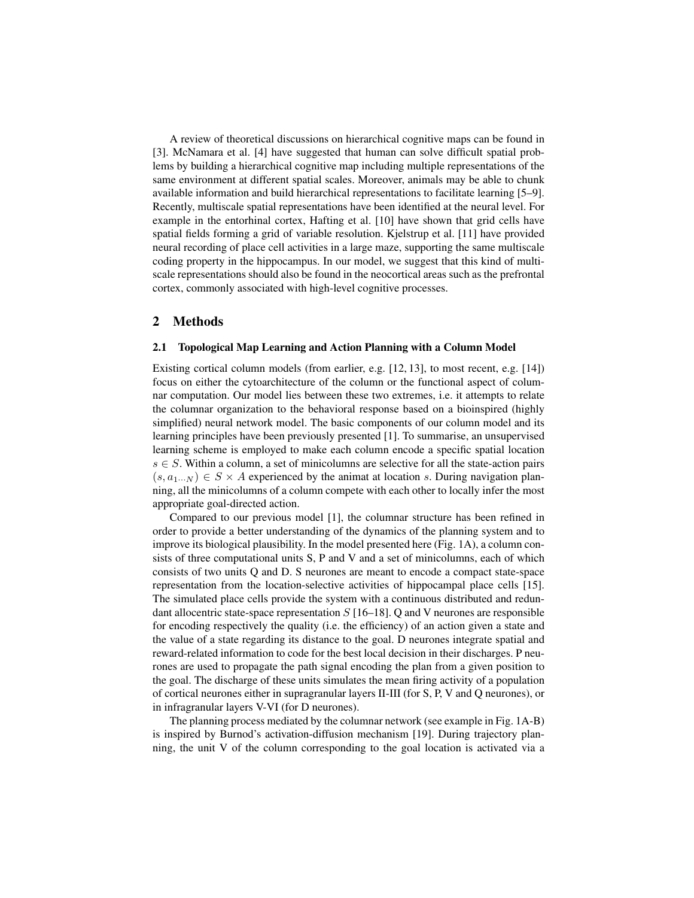A review of theoretical discussions on hierarchical cognitive maps can be found in [3]. McNamara et al. [4] have suggested that human can solve difficult spatial problems by building a hierarchical cognitive map including multiple representations of the same environment at different spatial scales. Moreover, animals may be able to chunk available information and build hierarchical representations to facilitate learning [5–9]. Recently, multiscale spatial representations have been identified at the neural level. For example in the entorhinal cortex, Hafting et al. [10] have shown that grid cells have spatial fields forming a grid of variable resolution. Kjelstrup et al. [11] have provided neural recording of place cell activities in a large maze, supporting the same multiscale coding property in the hippocampus. In our model, we suggest that this kind of multiscale representations should also be found in the neocortical areas such as the prefrontal cortex, commonly associated with high-level cognitive processes.

## 2 Methods

## 2.1 Topological Map Learning and Action Planning with a Column Model

Existing cortical column models (from earlier, e.g. [12, 13], to most recent, e.g. [14]) focus on either the cytoarchitecture of the column or the functional aspect of columnar computation. Our model lies between these two extremes, i.e. it attempts to relate the columnar organization to the behavioral response based on a bioinspired (highly simplified) neural network model. The basic components of our column model and its learning principles have been previously presented [1]. To summarise, an unsupervised learning scheme is employed to make each column encode a specific spatial location  $s \in S$ . Within a column, a set of minicolumns are selective for all the state-action pairs  $(s, a_1...N) \in S \times A$  experienced by the animat at location s. During navigation planning, all the minicolumns of a column compete with each other to locally infer the most appropriate goal-directed action.

Compared to our previous model [1], the columnar structure has been refined in order to provide a better understanding of the dynamics of the planning system and to improve its biological plausibility. In the model presented here (Fig. 1A), a column consists of three computational units S, P and V and a set of minicolumns, each of which consists of two units Q and D. S neurones are meant to encode a compact state-space representation from the location-selective activities of hippocampal place cells [15]. The simulated place cells provide the system with a continuous distributed and redundant allocentric state-space representation  $S$  [16–18]. Q and V neurones are responsible for encoding respectively the quality (i.e. the efficiency) of an action given a state and the value of a state regarding its distance to the goal. D neurones integrate spatial and reward-related information to code for the best local decision in their discharges. P neurones are used to propagate the path signal encoding the plan from a given position to the goal. The discharge of these units simulates the mean firing activity of a population of cortical neurones either in supragranular layers II-III (for S, P, V and Q neurones), or in infragranular layers V-VI (for D neurones).

The planning process mediated by the columnar network (see example in Fig. 1A-B) is inspired by Burnod's activation-diffusion mechanism [19]. During trajectory planning, the unit V of the column corresponding to the goal location is activated via a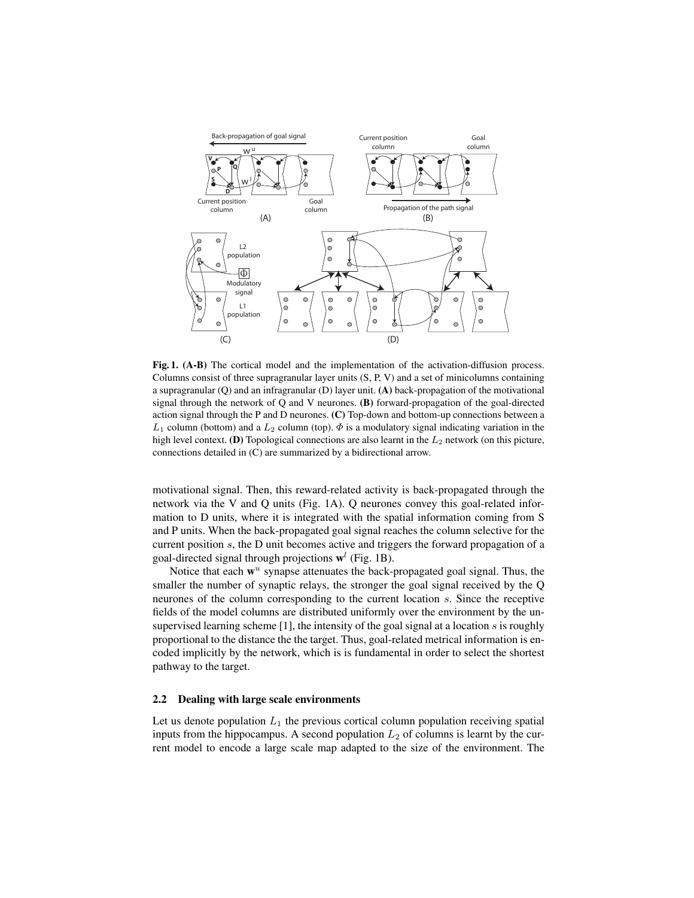

Fig. 1. (A-B) The cortical model and the implementation of the activation-diffusion process. Columns consist of three supragranular layer units (S, P, V) and a set of minicolumns containing a supragranular (Q) and an infragranular (D) layer unit. (A) back-propagation of the motivational signal through the network of Q and V neurones. (B) forward-propagation of the goal-directed action signal through the P and D neurones. (C) Top-down and bottom-up connections between a  $L_1$  column (bottom) and a  $L_2$  column (top).  $\Phi$  is a modulatory signal indicating variation in the high level context. (D) Topological connections are also learnt in the  $L_2$  network (on this picture, connections detailed in (C) are summarized by a bidirectional arrow.

motivational signal. Then, this reward-related activity is back-propagated through the network via the V and Q units (Fig. 1A). Q neurones convey this goal-related information to D units, where it is integrated with the spatial information coming from S and P units. When the back-propagated goal signal reaches the column selective for the current position s, the D unit becomes active and triggers the forward propagation of a goal-directed signal through projections  $\mathbf{w}^l$  (Fig. 1B).

Notice that each  $w^u$  synapse attenuates the back-propagated goal signal. Thus, the smaller the number of synaptic relays, the stronger the goal signal received by the Q neurones of the column corresponding to the current location s. Since the receptive fields of the model columns are distributed uniformly over the environment by the unsupervised learning scheme [1], the intensity of the goal signal at a location s is roughly proportional to the distance the the target. Thus, goal-related metrical information is encoded implicitly by the network, which is is fundamental in order to select the shortest pathway to the target.

#### 2.2 Dealing with large scale environments

Let us denote population  $L_1$  the previous cortical column population receiving spatial inputs from the hippocampus. A second population  $L_2$  of columns is learnt by the current model to encode a large scale map adapted to the size of the environment. The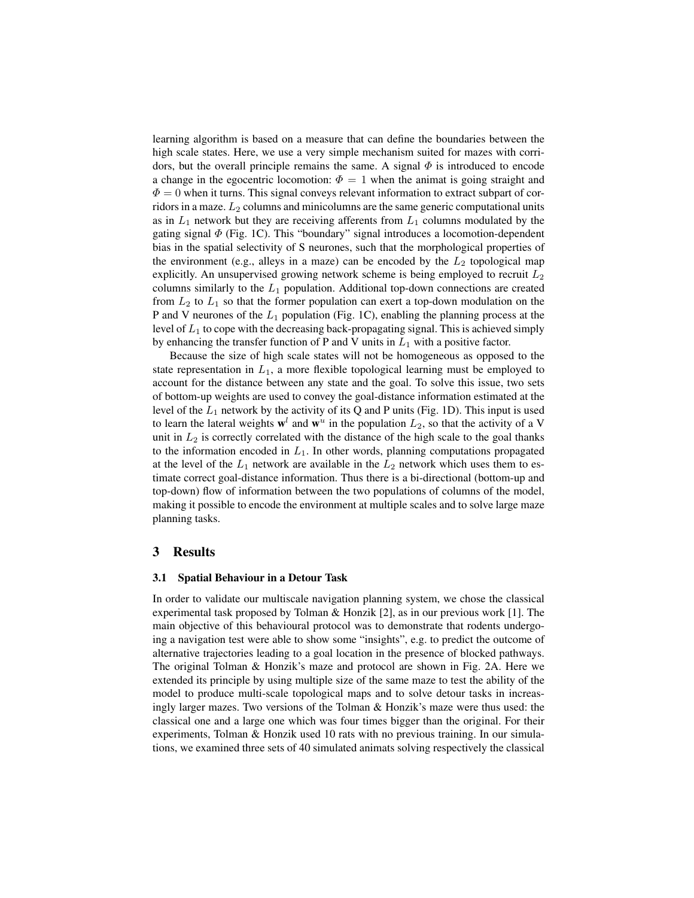learning algorithm is based on a measure that can define the boundaries between the high scale states. Here, we use a very simple mechanism suited for mazes with corridors, but the overall principle remains the same. A signal  $\Phi$  is introduced to encode a change in the egocentric locomotion:  $\Phi = 1$  when the animat is going straight and  $\Phi = 0$  when it turns. This signal conveys relevant information to extract subpart of corridors in a maze.  $L_2$  columns and minicolumns are the same generic computational units as in  $L_1$  network but they are receiving afferents from  $L_1$  columns modulated by the gating signal  $\Phi$  (Fig. 1C). This "boundary" signal introduces a locomotion-dependent bias in the spatial selectivity of S neurones, such that the morphological properties of the environment (e.g., alleys in a maze) can be encoded by the  $L_2$  topological map explicitly. An unsupervised growing network scheme is being employed to recruit  $L_2$ columns similarly to the  $L_1$  population. Additional top-down connections are created from  $L_2$  to  $L_1$  so that the former population can exert a top-down modulation on the P and V neurones of the  $L_1$  population (Fig. 1C), enabling the planning process at the level of  $L_1$  to cope with the decreasing back-propagating signal. This is achieved simply by enhancing the transfer function of P and V units in  $L_1$  with a positive factor.

Because the size of high scale states will not be homogeneous as opposed to the state representation in  $L_1$ , a more flexible topological learning must be employed to account for the distance between any state and the goal. To solve this issue, two sets of bottom-up weights are used to convey the goal-distance information estimated at the level of the  $L_1$  network by the activity of its Q and P units (Fig. 1D). This input is used to learn the lateral weights  $w^l$  and  $w^u$  in the population  $L_2$ , so that the activity of a V unit in  $L_2$  is correctly correlated with the distance of the high scale to the goal thanks to the information encoded in  $L_1$ . In other words, planning computations propagated at the level of the  $L_1$  network are available in the  $L_2$  network which uses them to estimate correct goal-distance information. Thus there is a bi-directional (bottom-up and top-down) flow of information between the two populations of columns of the model, making it possible to encode the environment at multiple scales and to solve large maze planning tasks.

## 3 Results

## 3.1 Spatial Behaviour in a Detour Task

In order to validate our multiscale navigation planning system, we chose the classical experimental task proposed by Tolman & Honzik [2], as in our previous work [1]. The main objective of this behavioural protocol was to demonstrate that rodents undergoing a navigation test were able to show some "insights", e.g. to predict the outcome of alternative trajectories leading to a goal location in the presence of blocked pathways. The original Tolman & Honzik's maze and protocol are shown in Fig. 2A. Here we extended its principle by using multiple size of the same maze to test the ability of the model to produce multi-scale topological maps and to solve detour tasks in increasingly larger mazes. Two versions of the Tolman & Honzik's maze were thus used: the classical one and a large one which was four times bigger than the original. For their experiments, Tolman & Honzik used 10 rats with no previous training. In our simulations, we examined three sets of 40 simulated animats solving respectively the classical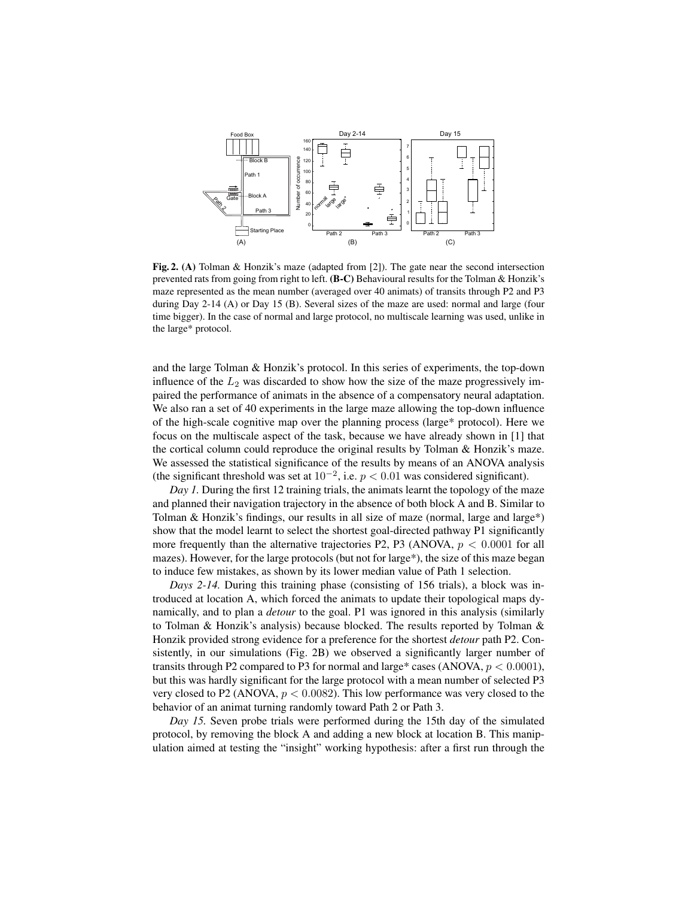

Fig. 2. (A) Tolman & Honzik's maze (adapted from [2]). The gate near the second intersection prevented rats from going from right to left. (B-C) Behavioural results for the Tolman & Honzik's maze represented as the mean number (averaged over 40 animats) of transits through P2 and P3 during Day 2-14 (A) or Day 15 (B). Several sizes of the maze are used: normal and large (four time bigger). In the case of normal and large protocol, no multiscale learning was used, unlike in the large\* protocol.

and the large Tolman & Honzik's protocol. In this series of experiments, the top-down influence of the  $L_2$  was discarded to show how the size of the maze progressively impaired the performance of animats in the absence of a compensatory neural adaptation. We also ran a set of 40 experiments in the large maze allowing the top-down influence of the high-scale cognitive map over the planning process (large\* protocol). Here we focus on the multiscale aspect of the task, because we have already shown in [1] that the cortical column could reproduce the original results by Tolman & Honzik's maze. We assessed the statistical significance of the results by means of an ANOVA analysis (the significant threshold was set at  $10^{-2}$ , i.e.  $p < 0.01$  was considered significant).

*Day 1.* During the first 12 training trials, the animats learnt the topology of the maze and planned their navigation trajectory in the absence of both block A and B. Similar to Tolman & Honzik's findings, our results in all size of maze (normal, large and large\*) show that the model learnt to select the shortest goal-directed pathway P1 significantly more frequently than the alternative trajectories P2, P3 (ANOVA,  $p < 0.0001$  for all mazes). However, for the large protocols (but not for large\*), the size of this maze began to induce few mistakes, as shown by its lower median value of Path 1 selection.

*Days 2-14.* During this training phase (consisting of 156 trials), a block was introduced at location A, which forced the animats to update their topological maps dynamically, and to plan a *detour* to the goal. P1 was ignored in this analysis (similarly to Tolman & Honzik's analysis) because blocked. The results reported by Tolman & Honzik provided strong evidence for a preference for the shortest *detour* path P2. Consistently, in our simulations (Fig. 2B) we observed a significantly larger number of transits through P2 compared to P3 for normal and large\* cases (ANOVA,  $p < 0.0001$ ), but this was hardly significant for the large protocol with a mean number of selected P3 very closed to P2 (ANOVA,  $p < 0.0082$ ). This low performance was very closed to the behavior of an animat turning randomly toward Path 2 or Path 3.

*Day 15.* Seven probe trials were performed during the 15th day of the simulated protocol, by removing the block A and adding a new block at location B. This manipulation aimed at testing the "insight" working hypothesis: after a first run through the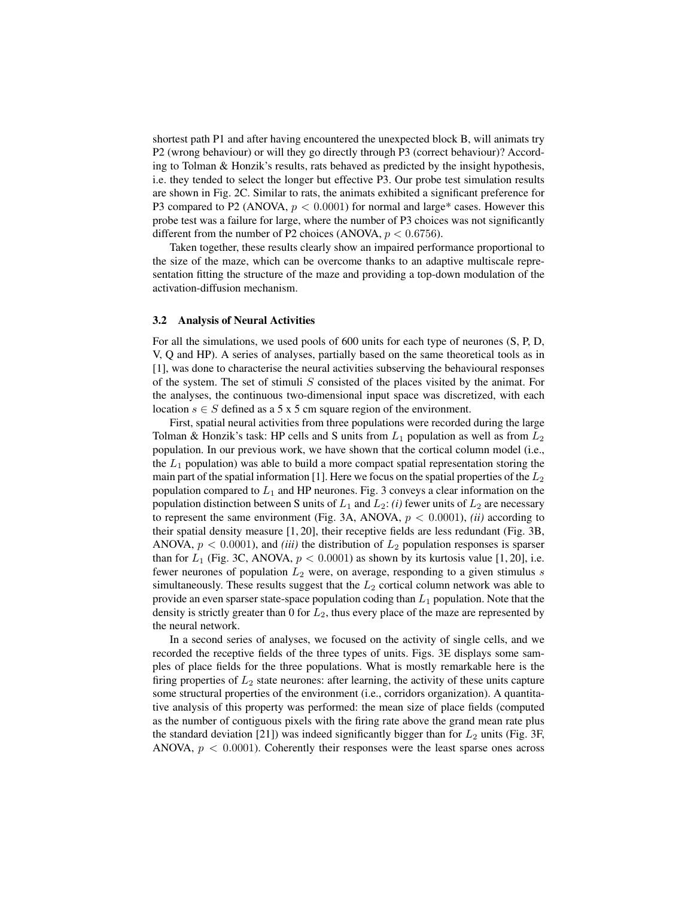shortest path P1 and after having encountered the unexpected block B, will animats try P2 (wrong behaviour) or will they go directly through P3 (correct behaviour)? According to Tolman & Honzik's results, rats behaved as predicted by the insight hypothesis, i.e. they tended to select the longer but effective P3. Our probe test simulation results are shown in Fig. 2C. Similar to rats, the animats exhibited a significant preference for P3 compared to P2 (ANOVA,  $p < 0.0001$ ) for normal and large\* cases. However this probe test was a failure for large, where the number of P3 choices was not significantly different from the number of P2 choices (ANOVA,  $p < 0.6756$ ).

Taken together, these results clearly show an impaired performance proportional to the size of the maze, which can be overcome thanks to an adaptive multiscale representation fitting the structure of the maze and providing a top-down modulation of the activation-diffusion mechanism.

#### 3.2 Analysis of Neural Activities

For all the simulations, we used pools of 600 units for each type of neurones (S, P, D, V, Q and HP). A series of analyses, partially based on the same theoretical tools as in [1], was done to characterise the neural activities subserving the behavioural responses of the system. The set of stimuli  $S$  consisted of the places visited by the animat. For the analyses, the continuous two-dimensional input space was discretized, with each location  $s \in S$  defined as a 5 x 5 cm square region of the environment.

First, spatial neural activities from three populations were recorded during the large Tolman & Honzik's task: HP cells and S units from  $L_1$  population as well as from  $L_2$ population. In our previous work, we have shown that the cortical column model (i.e., the  $L_1$  population) was able to build a more compact spatial representation storing the main part of the spatial information [1]. Here we focus on the spatial properties of the  $L_2$ population compared to  $L_1$  and HP neurones. Fig. 3 conveys a clear information on the population distinction between S units of  $L_1$  and  $L_2$ : *(i)* fewer units of  $L_2$  are necessary to represent the same environment (Fig. 3A, ANOVA,  $p < 0.0001$ ), *(ii)* according to their spatial density measure [1, 20], their receptive fields are less redundant (Fig. 3B, ANOVA,  $p < 0.0001$ ), and *(iii)* the distribution of  $L_2$  population responses is sparser than for  $L_1$  (Fig. 3C, ANOVA,  $p < 0.0001$ ) as shown by its kurtosis value [1, 20], i.e. fewer neurones of population  $L_2$  were, on average, responding to a given stimulus  $s$ simultaneously. These results suggest that the  $L_2$  cortical column network was able to provide an even sparser state-space population coding than  $L_1$  population. Note that the density is strictly greater than 0 for  $L_2$ , thus every place of the maze are represented by the neural network.

In a second series of analyses, we focused on the activity of single cells, and we recorded the receptive fields of the three types of units. Figs. 3E displays some samples of place fields for the three populations. What is mostly remarkable here is the firing properties of  $L_2$  state neurones: after learning, the activity of these units capture some structural properties of the environment (i.e., corridors organization). A quantitative analysis of this property was performed: the mean size of place fields (computed as the number of contiguous pixels with the firing rate above the grand mean rate plus the standard deviation [21]) was indeed significantly bigger than for  $L_2$  units (Fig. 3F, ANOVA,  $p < 0.0001$ ). Coherently their responses were the least sparse ones across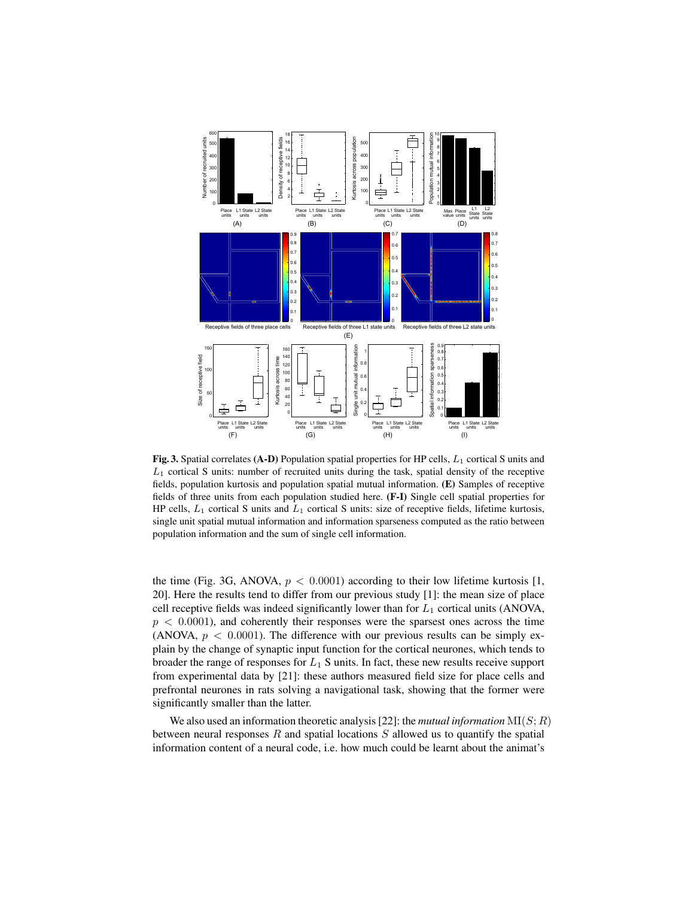

Fig. 3. Spatial correlates (A-D) Population spatial properties for HP cells,  $L_1$  cortical S units and  $L_1$  cortical S units: number of recruited units during the task, spatial density of the receptive fields, population kurtosis and population spatial mutual information. (E) Samples of receptive fields of three units from each population studied here. (F-I) Single cell spatial properties for HP cells,  $L_1$  cortical S units and  $L_1$  cortical S units: size of receptive fields, lifetime kurtosis, single unit spatial mutual information and information sparseness computed as the ratio between population information and the sum of single cell information.

the time (Fig. 3G, ANOVA,  $p < 0.0001$ ) according to their low lifetime kurtosis [1, 20]. Here the results tend to differ from our previous study [1]: the mean size of place cell receptive fields was indeed significantly lower than for  $L_1$  cortical units (ANOVA,  $p < 0.0001$ , and coherently their responses were the sparsest ones across the time (ANOVA,  $p < 0.0001$ ). The difference with our previous results can be simply explain by the change of synaptic input function for the cortical neurones, which tends to broader the range of responses for  $L_1$  S units. In fact, these new results receive support from experimental data by [21]: these authors measured field size for place cells and prefrontal neurones in rats solving a navigational task, showing that the former were significantly smaller than the latter.

We also used an information theoretic analysis [22]: the *mutual information*  $MI(S; R)$ between neural responses  $R$  and spatial locations  $S$  allowed us to quantify the spatial information content of a neural code, i.e. how much could be learnt about the animat's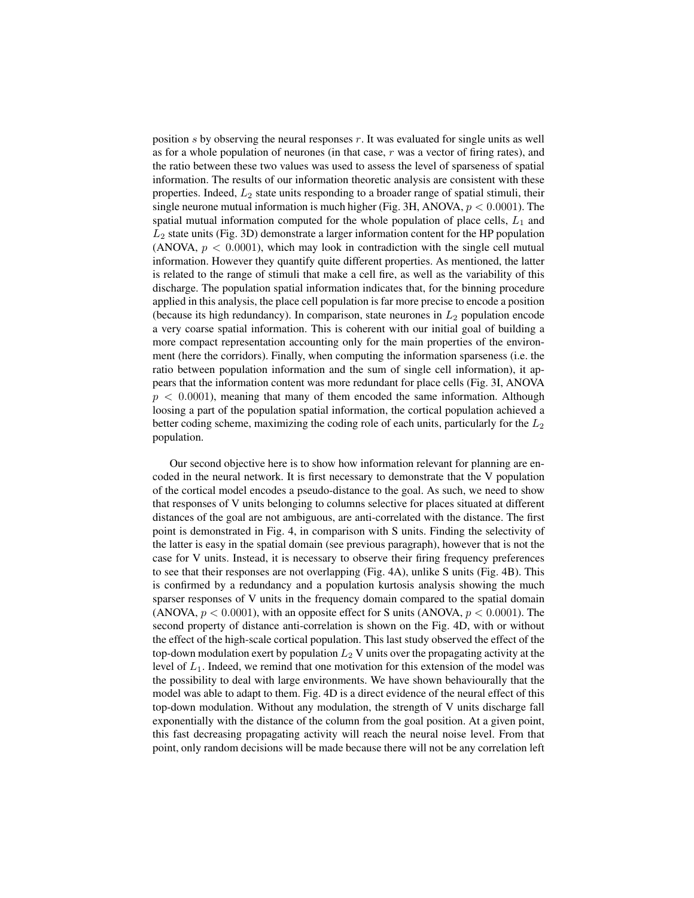position s by observing the neural responses r. It was evaluated for single units as well as for a whole population of neurones (in that case,  $r$  was a vector of firing rates), and the ratio between these two values was used to assess the level of sparseness of spatial information. The results of our information theoretic analysis are consistent with these properties. Indeed,  $L_2$  state units responding to a broader range of spatial stimuli, their single neurone mutual information is much higher (Fig. 3H, ANOVA,  $p < 0.0001$ ). The spatial mutual information computed for the whole population of place cells,  $L_1$  and  $L_2$  state units (Fig. 3D) demonstrate a larger information content for the HP population (ANOVA,  $p < 0.0001$ ), which may look in contradiction with the single cell mutual information. However they quantify quite different properties. As mentioned, the latter is related to the range of stimuli that make a cell fire, as well as the variability of this discharge. The population spatial information indicates that, for the binning procedure applied in this analysis, the place cell population is far more precise to encode a position (because its high redundancy). In comparison, state neurones in  $L_2$  population encode a very coarse spatial information. This is coherent with our initial goal of building a more compact representation accounting only for the main properties of the environment (here the corridors). Finally, when computing the information sparseness (i.e. the ratio between population information and the sum of single cell information), it appears that the information content was more redundant for place cells (Fig. 3I, ANOVA  $p < 0.0001$ , meaning that many of them encoded the same information. Although loosing a part of the population spatial information, the cortical population achieved a better coding scheme, maximizing the coding role of each units, particularly for the  $L_2$ population.

Our second objective here is to show how information relevant for planning are encoded in the neural network. It is first necessary to demonstrate that the V population of the cortical model encodes a pseudo-distance to the goal. As such, we need to show that responses of V units belonging to columns selective for places situated at different distances of the goal are not ambiguous, are anti-correlated with the distance. The first point is demonstrated in Fig. 4, in comparison with S units. Finding the selectivity of the latter is easy in the spatial domain (see previous paragraph), however that is not the case for V units. Instead, it is necessary to observe their firing frequency preferences to see that their responses are not overlapping (Fig. 4A), unlike S units (Fig. 4B). This is confirmed by a redundancy and a population kurtosis analysis showing the much sparser responses of V units in the frequency domain compared to the spatial domain (ANOVA,  $p < 0.0001$ ), with an opposite effect for S units (ANOVA,  $p < 0.0001$ ). The second property of distance anti-correlation is shown on the Fig. 4D, with or without the effect of the high-scale cortical population. This last study observed the effect of the top-down modulation exert by population  $L_2$  V units over the propagating activity at the level of  $L_1$ . Indeed, we remind that one motivation for this extension of the model was the possibility to deal with large environments. We have shown behaviourally that the model was able to adapt to them. Fig. 4D is a direct evidence of the neural effect of this top-down modulation. Without any modulation, the strength of V units discharge fall exponentially with the distance of the column from the goal position. At a given point, this fast decreasing propagating activity will reach the neural noise level. From that point, only random decisions will be made because there will not be any correlation left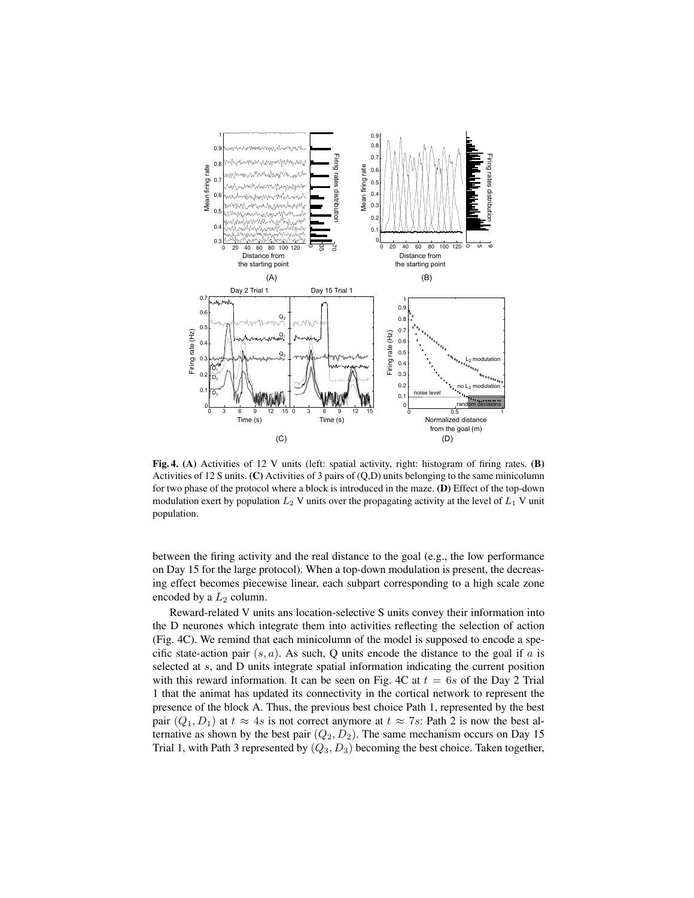![](_page_8_Figure_0.jpeg)

Fig. 4. (A) Activities of 12 V units (left: spatial activity, right: histogram of firing rates. (B) Activities of 12 S units. (C) Activities of 3 pairs of (Q,D) units belonging to the same minicolumn for two phase of the protocol where a block is introduced in the maze. (D) Effect of the top-down modulation exert by population  $L_2$  V units over the propagating activity at the level of  $L_1$  V unit population.

between the firing activity and the real distance to the goal (e.g., the low performance on Day 15 for the large protocol). When a top-down modulation is present, the decreasing effect becomes piecewise linear, each subpart corresponding to a high scale zone encoded by a  $L_2$  column.

Reward-related V units ans location-selective S units convey their information into the D neurones which integrate them into activities reflecting the selection of action (Fig. 4C). We remind that each minicolumn of the model is supposed to encode a specific state-action pair  $(s, a)$ . As such, Q units encode the distance to the goal if a is selected at s, and D units integrate spatial information indicating the current position with this reward information. It can be seen on Fig. 4C at  $t = 6s$  of the Day 2 Trial 1 that the animat has updated its connectivity in the cortical network to represent the presence of the block A. Thus, the previous best choice Path 1, represented by the best pair  $(Q_1, D_1)$  at  $t \approx 4s$  is not correct anymore at  $t \approx 7s$ : Path 2 is now the best alternative as shown by the best pair  $(Q_2, D_2)$ . The same mechanism occurs on Day 15 Trial 1, with Path 3 represented by  $(Q_3, D_3)$  becoming the best choice. Taken together,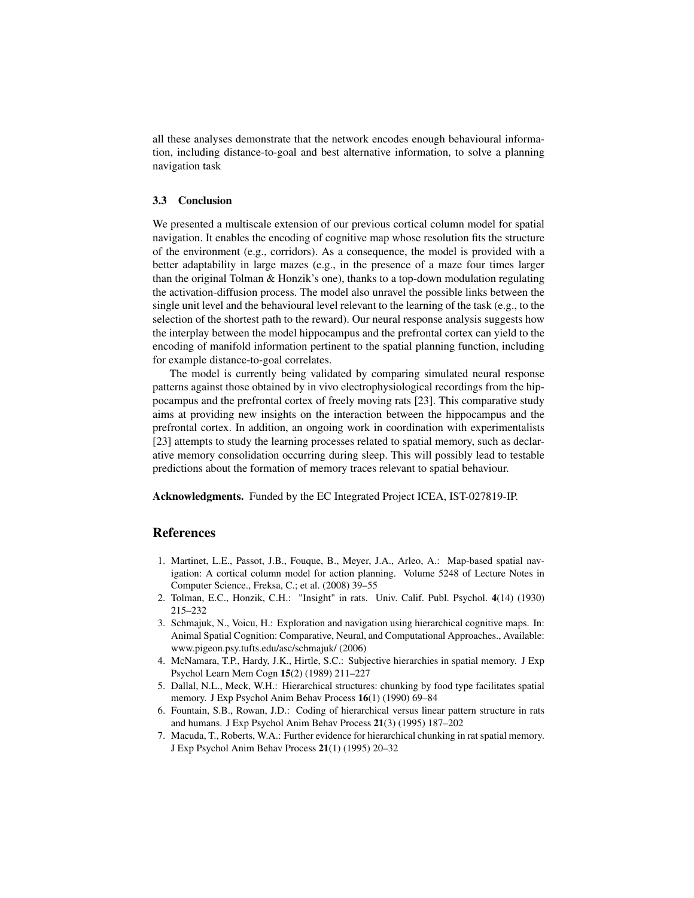all these analyses demonstrate that the network encodes enough behavioural information, including distance-to-goal and best alternative information, to solve a planning navigation task

## 3.3 Conclusion

We presented a multiscale extension of our previous cortical column model for spatial navigation. It enables the encoding of cognitive map whose resolution fits the structure of the environment (e.g., corridors). As a consequence, the model is provided with a better adaptability in large mazes (e.g., in the presence of a maze four times larger than the original Tolman & Honzik's one), thanks to a top-down modulation regulating the activation-diffusion process. The model also unravel the possible links between the single unit level and the behavioural level relevant to the learning of the task (e.g., to the selection of the shortest path to the reward). Our neural response analysis suggests how the interplay between the model hippocampus and the prefrontal cortex can yield to the encoding of manifold information pertinent to the spatial planning function, including for example distance-to-goal correlates.

The model is currently being validated by comparing simulated neural response patterns against those obtained by in vivo electrophysiological recordings from the hippocampus and the prefrontal cortex of freely moving rats [23]. This comparative study aims at providing new insights on the interaction between the hippocampus and the prefrontal cortex. In addition, an ongoing work in coordination with experimentalists [23] attempts to study the learning processes related to spatial memory, such as declarative memory consolidation occurring during sleep. This will possibly lead to testable predictions about the formation of memory traces relevant to spatial behaviour.

Acknowledgments. Funded by the EC Integrated Project ICEA, IST-027819-IP.

## References

- 1. Martinet, L.E., Passot, J.B., Fouque, B., Meyer, J.A., Arleo, A.: Map-based spatial navigation: A cortical column model for action planning. Volume 5248 of Lecture Notes in Computer Science., Freksa, C.; et al. (2008) 39–55
- 2. Tolman, E.C., Honzik, C.H.: "Insight" in rats. Univ. Calif. Publ. Psychol. 4(14) (1930) 215–232
- 3. Schmajuk, N., Voicu, H.: Exploration and navigation using hierarchical cognitive maps. In: Animal Spatial Cognition: Comparative, Neural, and Computational Approaches., Available: www.pigeon.psy.tufts.edu/asc/schmajuk/ (2006)
- 4. McNamara, T.P., Hardy, J.K., Hirtle, S.C.: Subjective hierarchies in spatial memory. J Exp Psychol Learn Mem Cogn 15(2) (1989) 211–227
- 5. Dallal, N.L., Meck, W.H.: Hierarchical structures: chunking by food type facilitates spatial memory. J Exp Psychol Anim Behav Process 16(1) (1990) 69–84
- 6. Fountain, S.B., Rowan, J.D.: Coding of hierarchical versus linear pattern structure in rats and humans. J Exp Psychol Anim Behav Process 21(3) (1995) 187–202
- 7. Macuda, T., Roberts, W.A.: Further evidence for hierarchical chunking in rat spatial memory. J Exp Psychol Anim Behav Process 21(1) (1995) 20–32